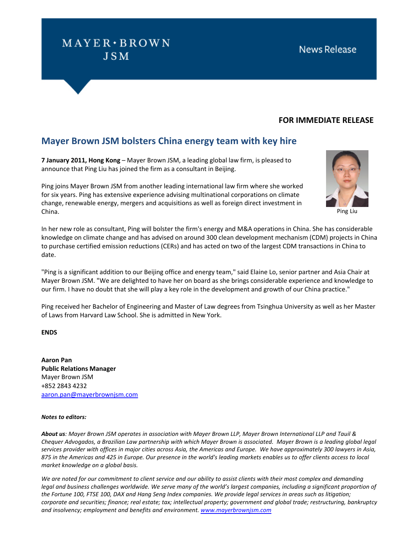# $MAYER \cdot BROWN$ **JSM**

### **FOR IMMEDIATE RELEASE**

## **Mayer Brown JSM bolsters China energy team with key hire**

**7 January 2011, Hong Kong** – Mayer Brown JSM, a leading global law firm, is pleased to announce that Ping Liu has joined the firm as a consultant in Beijing.

Ping joins Mayer Brown JSM from another leading international law firm where she worked for six years. Ping has extensive experience advising multinational corporations on climate change, renewable energy, mergers and acquisitions as well as foreign direct investment in China.



Ping Liu

In her new role as consultant, Ping will bolster the firm's energy and M&A operations in China. She has considerable knowledge on climate change and has advised on around 300 clean development mechanism (CDM) projects in China to purchase certified emission reductions (CERs) and has acted on two of the largest CDM transactions in China to date.

"Ping is a significant addition to our Beijing office and energy team," said Elaine Lo, senior partner and Asia Chair at Mayer Brown JSM. "We are delighted to have her on board as she brings considerable experience and knowledge to our firm. I have no doubt that she will play a key role in the development and growth of our China practice."

Ping received her Bachelor of Engineering and Master of Law degrees from Tsinghua University as well as her Master of Laws from Harvard Law School. She is admitted in New York.

### **ENDS**

**Aaron Pan Public Relations Manager** Mayer Brown JSM +852 2843 4232 aaron.pan@mayerbrownjsm.com

### *Notes to editors:*

*About us: Mayer Brown JSM operates in association with Mayer Brown LLP, Mayer Brown International LLP and Tauil & Chequer Advogados, a Brazilian Law partnership with which Mayer Brown is associated. Mayer Brown is a leading global legal services provider with offices in major cities across Asia, the Americas and Europe. We have approximately 300 lawyers in Asia, 875 in the Americas and 425 in Europe. Our presence in the world's leading markets enables us to offer clients access to local market knowledge on a global basis.* 

*We are noted for our commitment to client service and our ability to assist clients with their most complex and demanding legal and business challenges worldwide. We serve many of the world's largest companies, including a significant proportion of the Fortune 100, FTSE 100, DAX and Hang Seng Index companies. We provide legal services in areas such as litigation; corporate and securities; finance; real estate; tax; intellectual property; government and global trade; restructuring, bankruptcy and insolvency; employment and benefits and environment. <www.mayerbrownjsm.com>*